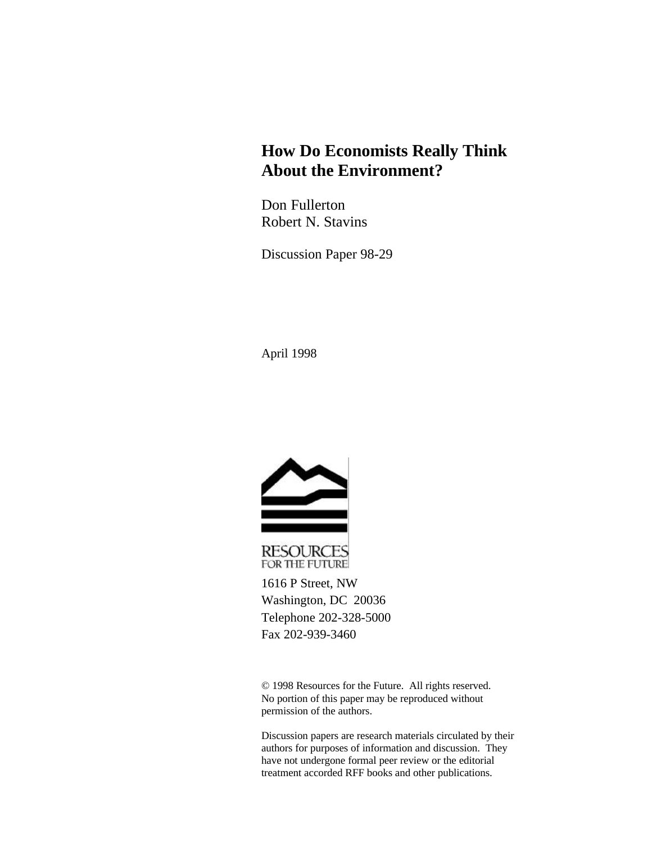# **How Do Economists Really Think About the Environment?**

Don Fullerton Robert N. Stavins

Discussion Paper 98-29

April 1998



RESOURCES FOR THE FUTURE

1616 P Street, NW Washington, DC 20036 Telephone 202-328-5000 Fax 202-939-3460

© 1998 Resources for the Future. All rights reserved. No portion of this paper may be reproduced without permission of the authors.

Discussion papers are research materials circulated by their authors for purposes of information and discussion. They have not undergone formal peer review or the editorial treatment accorded RFF books and other publications.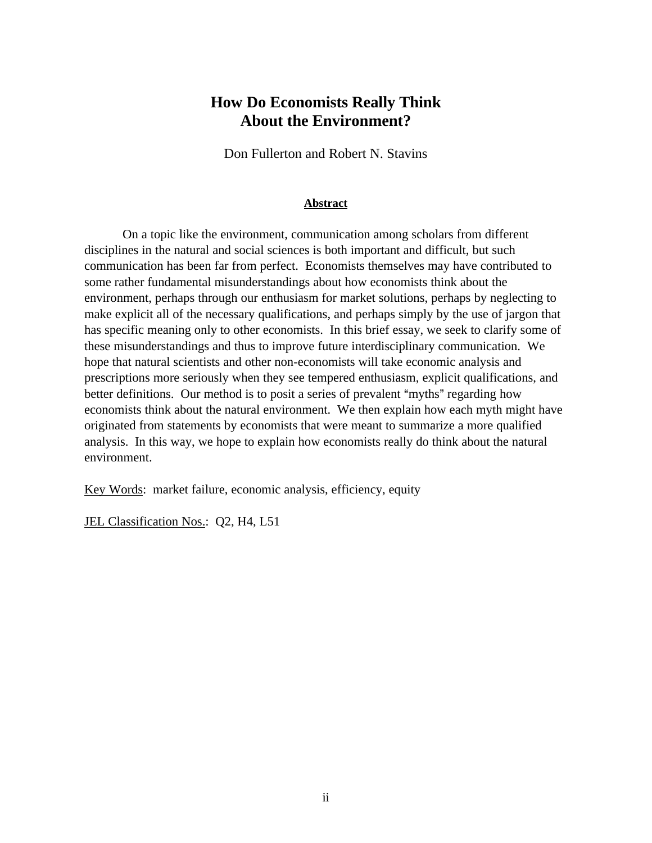# **How Do Economists Really Think About the Environment?**

Don Fullerton and Robert N. Stavins

#### **Abstract**

On a topic like the environment, communication among scholars from different disciplines in the natural and social sciences is both important and difficult, but such communication has been far from perfect. Economists themselves may have contributed to some rather fundamental misunderstandings about how economists think about the environment, perhaps through our enthusiasm for market solutions, perhaps by neglecting to make explicit all of the necessary qualifications, and perhaps simply by the use of jargon that has specific meaning only to other economists. In this brief essay, we seek to clarify some of these misunderstandings and thus to improve future interdisciplinary communication. We hope that natural scientists and other non-economists will take economic analysis and prescriptions more seriously when they see tempered enthusiasm, explicit qualifications, and better definitions. Our method is to posit a series of prevalent "myths" regarding how economists think about the natural environment. We then explain how each myth might have originated from statements by economists that were meant to summarize a more qualified analysis. In this way, we hope to explain how economists really do think about the natural environment.

Key Words: market failure, economic analysis, efficiency, equity

JEL Classification Nos.: Q2, H4, L51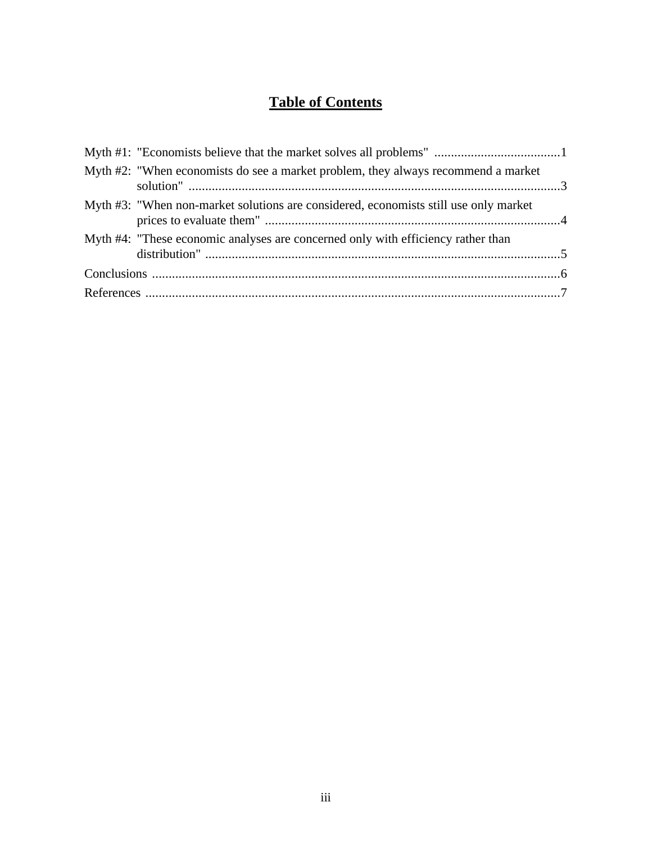# **Table of Contents**

|  | Myth #2: "When economists do see a market problem, they always recommend a market    |  |
|--|--------------------------------------------------------------------------------------|--|
|  | Myth #3: "When non-market solutions are considered, economists still use only market |  |
|  | Myth #4: "These economic analyses are concerned only with efficiency rather than     |  |
|  |                                                                                      |  |
|  |                                                                                      |  |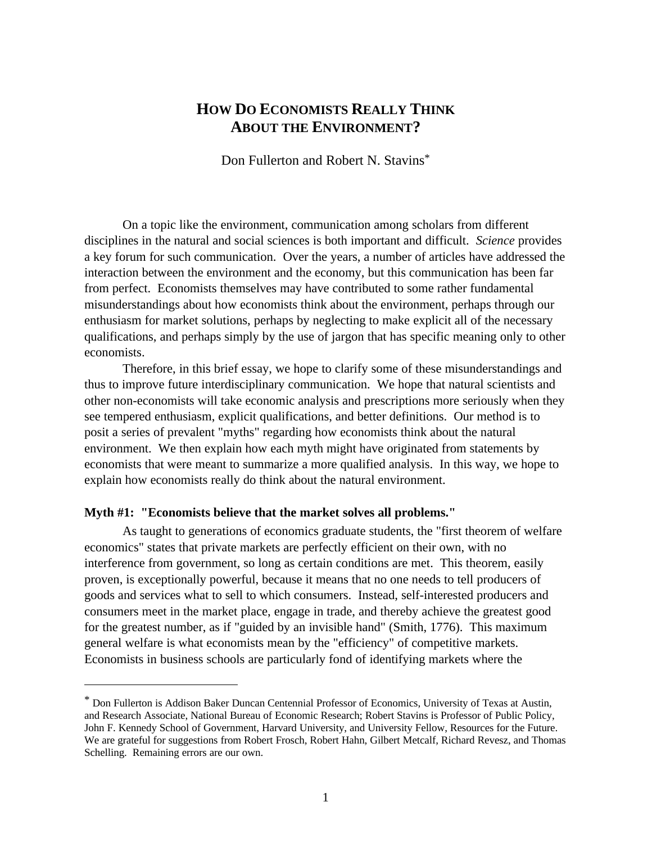# **HOW DO ECONOMISTS REALLY THINK ABOUT THE ENVIRONMENT?**

Don Fullerton and Robert N. Stavins\*

On a topic like the environment, communication among scholars from different disciplines in the natural and social sciences is both important and difficult. *Science* provides a key forum for such communication. Over the years, a number of articles have addressed the interaction between the environment and the economy, but this communication has been far from perfect. Economists themselves may have contributed to some rather fundamental misunderstandings about how economists think about the environment, perhaps through our enthusiasm for market solutions, perhaps by neglecting to make explicit all of the necessary qualifications, and perhaps simply by the use of jargon that has specific meaning only to other economists.

Therefore, in this brief essay, we hope to clarify some of these misunderstandings and thus to improve future interdisciplinary communication. We hope that natural scientists and other non-economists will take economic analysis and prescriptions more seriously when they see tempered enthusiasm, explicit qualifications, and better definitions. Our method is to posit a series of prevalent "myths" regarding how economists think about the natural environment. We then explain how each myth might have originated from statements by economists that were meant to summarize a more qualified analysis. In this way, we hope to explain how economists really do think about the natural environment.

#### **Myth #1: "Economists believe that the market solves all problems."**

 $\overline{a}$ 

As taught to generations of economics graduate students, the "first theorem of welfare economics" states that private markets are perfectly efficient on their own, with no interference from government, so long as certain conditions are met. This theorem, easily proven, is exceptionally powerful, because it means that no one needs to tell producers of goods and services what to sell to which consumers. Instead, self-interested producers and consumers meet in the market place, engage in trade, and thereby achieve the greatest good for the greatest number, as if "guided by an invisible hand" (Smith, 1776). This maximum general welfare is what economists mean by the "efficiency" of competitive markets. Economists in business schools are particularly fond of identifying markets where the

<sup>\*</sup> Don Fullerton is Addison Baker Duncan Centennial Professor of Economics, University of Texas at Austin, and Research Associate, National Bureau of Economic Research; Robert Stavins is Professor of Public Policy, John F. Kennedy School of Government, Harvard University, and University Fellow, Resources for the Future. We are grateful for suggestions from Robert Frosch, Robert Hahn, Gilbert Metcalf, Richard Revesz, and Thomas Schelling. Remaining errors are our own.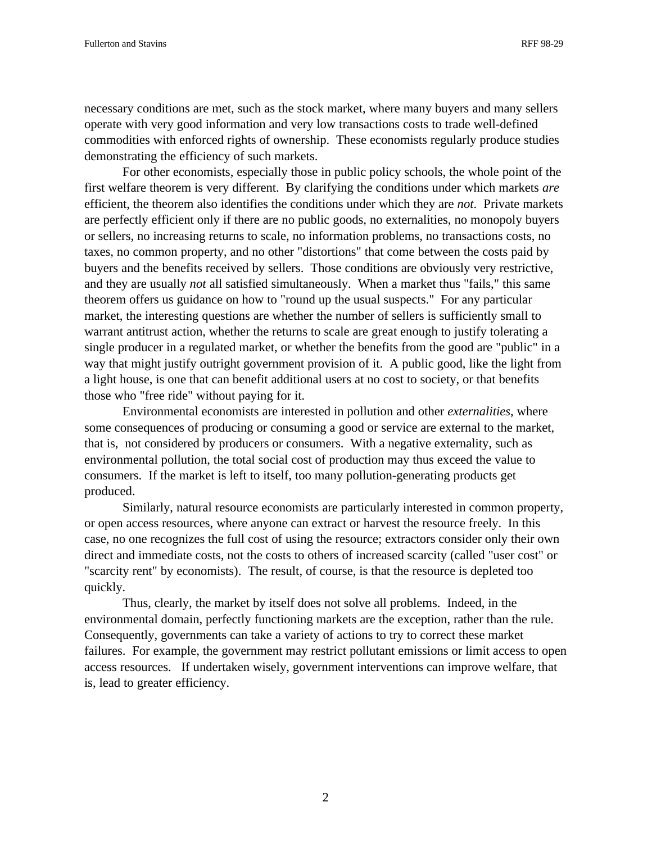necessary conditions are met, such as the stock market, where many buyers and many sellers operate with very good information and very low transactions costs to trade well-defined commodities with enforced rights of ownership. These economists regularly produce studies demonstrating the efficiency of such markets.

For other economists, especially those in public policy schools, the whole point of the first welfare theorem is very different. By clarifying the conditions under which markets *are* efficient, the theorem also identifies the conditions under which they are *not*. Private markets are perfectly efficient only if there are no public goods, no externalities, no monopoly buyers or sellers, no increasing returns to scale, no information problems, no transactions costs, no taxes, no common property, and no other "distortions" that come between the costs paid by buyers and the benefits received by sellers. Those conditions are obviously very restrictive, and they are usually *not* all satisfied simultaneously. When a market thus "fails," this same theorem offers us guidance on how to "round up the usual suspects." For any particular market, the interesting questions are whether the number of sellers is sufficiently small to warrant antitrust action, whether the returns to scale are great enough to justify tolerating a single producer in a regulated market, or whether the benefits from the good are "public" in a way that might justify outright government provision of it. A public good, like the light from a light house, is one that can benefit additional users at no cost to society, or that benefits those who "free ride" without paying for it.

Environmental economists are interested in pollution and other *externalities*, where some consequences of producing or consuming a good or service are external to the market, that is, not considered by producers or consumers. With a negative externality, such as environmental pollution, the total social cost of production may thus exceed the value to consumers. If the market is left to itself, too many pollution-generating products get produced.

Similarly, natural resource economists are particularly interested in common property, or open access resources, where anyone can extract or harvest the resource freely. In this case, no one recognizes the full cost of using the resource; extractors consider only their own direct and immediate costs, not the costs to others of increased scarcity (called "user cost" or "scarcity rent" by economists). The result, of course, is that the resource is depleted too quickly.

Thus, clearly, the market by itself does not solve all problems. Indeed, in the environmental domain, perfectly functioning markets are the exception, rather than the rule. Consequently, governments can take a variety of actions to try to correct these market failures. For example, the government may restrict pollutant emissions or limit access to open access resources. If undertaken wisely, government interventions can improve welfare, that is, lead to greater efficiency.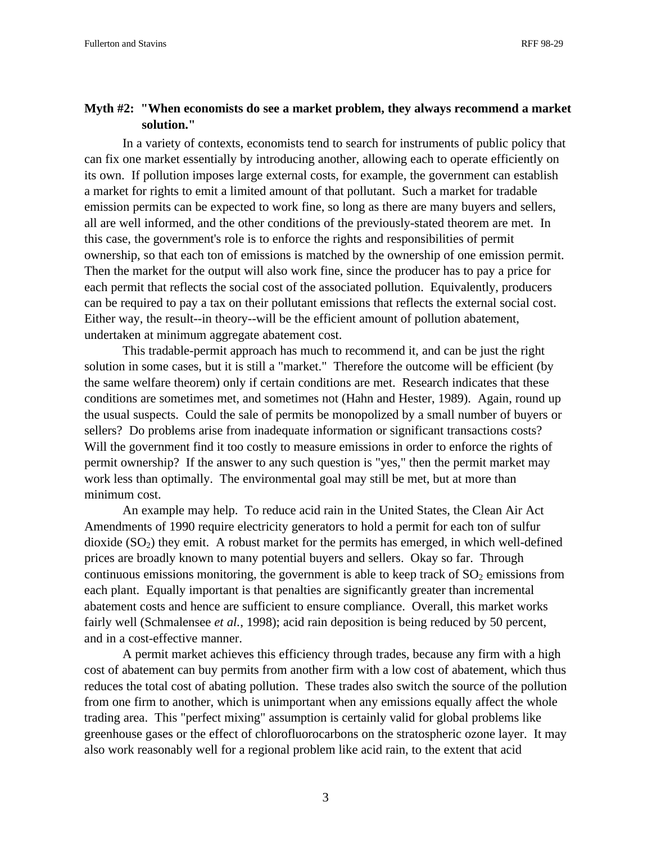## **Myth #2: "When economists do see a market problem, they always recommend a market solution."**

In a variety of contexts, economists tend to search for instruments of public policy that can fix one market essentially by introducing another, allowing each to operate efficiently on its own. If pollution imposes large external costs, for example, the government can establish a market for rights to emit a limited amount of that pollutant. Such a market for tradable emission permits can be expected to work fine, so long as there are many buyers and sellers, all are well informed, and the other conditions of the previously-stated theorem are met. In this case, the government's role is to enforce the rights and responsibilities of permit ownership, so that each ton of emissions is matched by the ownership of one emission permit. Then the market for the output will also work fine, since the producer has to pay a price for each permit that reflects the social cost of the associated pollution. Equivalently, producers can be required to pay a tax on their pollutant emissions that reflects the external social cost. Either way, the result--in theory--will be the efficient amount of pollution abatement, undertaken at minimum aggregate abatement cost.

This tradable-permit approach has much to recommend it, and can be just the right solution in some cases, but it is still a "market." Therefore the outcome will be efficient (by the same welfare theorem) only if certain conditions are met. Research indicates that these conditions are sometimes met, and sometimes not (Hahn and Hester, 1989). Again, round up the usual suspects. Could the sale of permits be monopolized by a small number of buyers or sellers? Do problems arise from inadequate information or significant transactions costs? Will the government find it too costly to measure emissions in order to enforce the rights of permit ownership? If the answer to any such question is "yes," then the permit market may work less than optimally. The environmental goal may still be met, but at more than minimum cost.

An example may help. To reduce acid rain in the United States, the Clean Air Act Amendments of 1990 require electricity generators to hold a permit for each ton of sulfur dioxide  $(SO<sub>2</sub>)$  they emit. A robust market for the permits has emerged, in which well-defined prices are broadly known to many potential buyers and sellers. Okay so far. Through continuous emissions monitoring, the government is able to keep track of  $SO<sub>2</sub>$  emissions from each plant. Equally important is that penalties are significantly greater than incremental abatement costs and hence are sufficient to ensure compliance. Overall, this market works fairly well (Schmalensee *et al.*, 1998); acid rain deposition is being reduced by 50 percent, and in a cost-effective manner.

A permit market achieves this efficiency through trades, because any firm with a high cost of abatement can buy permits from another firm with a low cost of abatement, which thus reduces the total cost of abating pollution. These trades also switch the source of the pollution from one firm to another, which is unimportant when any emissions equally affect the whole trading area. This "perfect mixing" assumption is certainly valid for global problems like greenhouse gases or the effect of chlorofluorocarbons on the stratospheric ozone layer. It may also work reasonably well for a regional problem like acid rain, to the extent that acid

3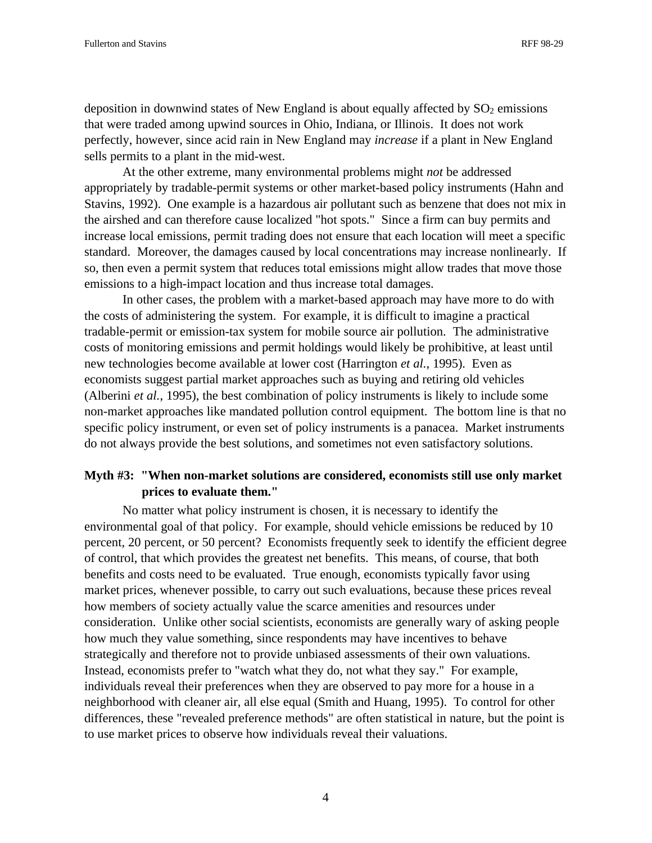deposition in downwind states of New England is about equally affected by  $SO_2$  emissions that were traded among upwind sources in Ohio, Indiana, or Illinois. It does not work perfectly, however, since acid rain in New England may *increase* if a plant in New England sells permits to a plant in the mid-west.

At the other extreme, many environmental problems might *not* be addressed appropriately by tradable-permit systems or other market-based policy instruments (Hahn and Stavins, 1992). One example is a hazardous air pollutant such as benzene that does not mix in the airshed and can therefore cause localized "hot spots." Since a firm can buy permits and increase local emissions, permit trading does not ensure that each location will meet a specific standard. Moreover, the damages caused by local concentrations may increase nonlinearly. If so, then even a permit system that reduces total emissions might allow trades that move those emissions to a high-impact location and thus increase total damages.

In other cases, the problem with a market-based approach may have more to do with the costs of administering the system. For example, it is difficult to imagine a practical tradable-permit or emission-tax system for mobile source air pollution. The administrative costs of monitoring emissions and permit holdings would likely be prohibitive, at least until new technologies become available at lower cost (Harrington *et al.*, 1995). Even as economists suggest partial market approaches such as buying and retiring old vehicles (Alberini *et al.*, 1995), the best combination of policy instruments is likely to include some non-market approaches like mandated pollution control equipment. The bottom line is that no specific policy instrument, or even set of policy instruments is a panacea. Market instruments do not always provide the best solutions, and sometimes not even satisfactory solutions.

# **Myth #3: "When non-market solutions are considered, economists still use only market prices to evaluate them."**

No matter what policy instrument is chosen, it is necessary to identify the environmental goal of that policy. For example, should vehicle emissions be reduced by 10 percent, 20 percent, or 50 percent? Economists frequently seek to identify the efficient degree of control, that which provides the greatest net benefits. This means, of course, that both benefits and costs need to be evaluated. True enough, economists typically favor using market prices, whenever possible, to carry out such evaluations, because these prices reveal how members of society actually value the scarce amenities and resources under consideration. Unlike other social scientists, economists are generally wary of asking people how much they value something, since respondents may have incentives to behave strategically and therefore not to provide unbiased assessments of their own valuations. Instead, economists prefer to "watch what they do, not what they say." For example, individuals reveal their preferences when they are observed to pay more for a house in a neighborhood with cleaner air, all else equal (Smith and Huang, 1995). To control for other differences, these "revealed preference methods" are often statistical in nature, but the point is to use market prices to observe how individuals reveal their valuations.

4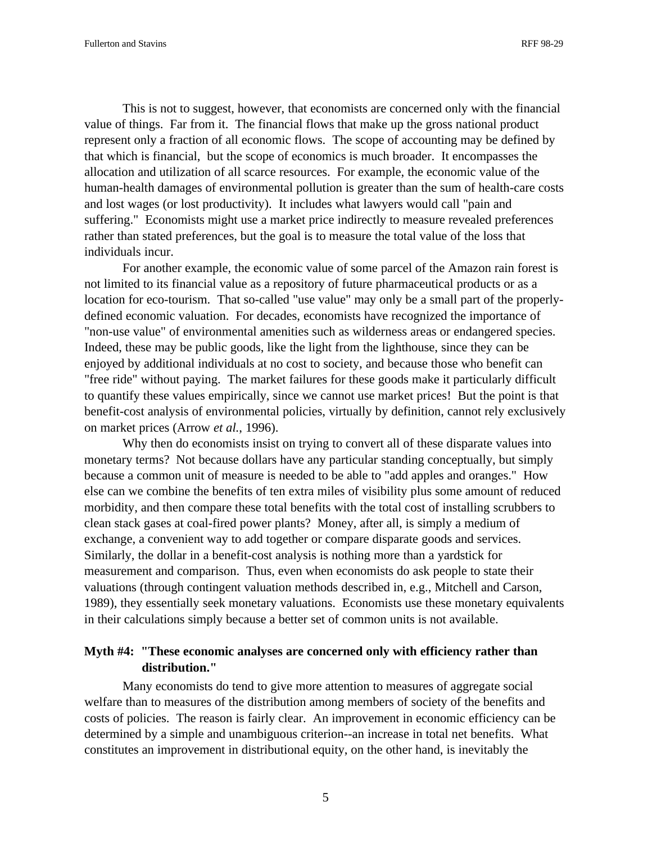This is not to suggest, however, that economists are concerned only with the financial value of things. Far from it. The financial flows that make up the gross national product represent only a fraction of all economic flows. The scope of accounting may be defined by that which is financial, but the scope of economics is much broader. It encompasses the allocation and utilization of all scarce resources. For example, the economic value of the human-health damages of environmental pollution is greater than the sum of health-care costs and lost wages (or lost productivity). It includes what lawyers would call "pain and suffering." Economists might use a market price indirectly to measure revealed preferences rather than stated preferences, but the goal is to measure the total value of the loss that individuals incur.

For another example, the economic value of some parcel of the Amazon rain forest is not limited to its financial value as a repository of future pharmaceutical products or as a location for eco-tourism. That so-called "use value" may only be a small part of the properlydefined economic valuation. For decades, economists have recognized the importance of "non-use value" of environmental amenities such as wilderness areas or endangered species. Indeed, these may be public goods, like the light from the lighthouse, since they can be enjoyed by additional individuals at no cost to society, and because those who benefit can "free ride" without paying. The market failures for these goods make it particularly difficult to quantify these values empirically, since we cannot use market prices! But the point is that benefit-cost analysis of environmental policies, virtually by definition, cannot rely exclusively on market prices (Arrow *et al.*, 1996).

Why then do economists insist on trying to convert all of these disparate values into monetary terms? Not because dollars have any particular standing conceptually, but simply because a common unit of measure is needed to be able to "add apples and oranges." How else can we combine the benefits of ten extra miles of visibility plus some amount of reduced morbidity, and then compare these total benefits with the total cost of installing scrubbers to clean stack gases at coal-fired power plants? Money, after all, is simply a medium of exchange, a convenient way to add together or compare disparate goods and services. Similarly, the dollar in a benefit-cost analysis is nothing more than a yardstick for measurement and comparison. Thus, even when economists do ask people to state their valuations (through contingent valuation methods described in, e.g., Mitchell and Carson, 1989), they essentially seek monetary valuations. Economists use these monetary equivalents in their calculations simply because a better set of common units is not available.

## **Myth #4: "These economic analyses are concerned only with efficiency rather than distribution."**

Many economists do tend to give more attention to measures of aggregate social welfare than to measures of the distribution among members of society of the benefits and costs of policies. The reason is fairly clear. An improvement in economic efficiency can be determined by a simple and unambiguous criterion--an increase in total net benefits. What constitutes an improvement in distributional equity, on the other hand, is inevitably the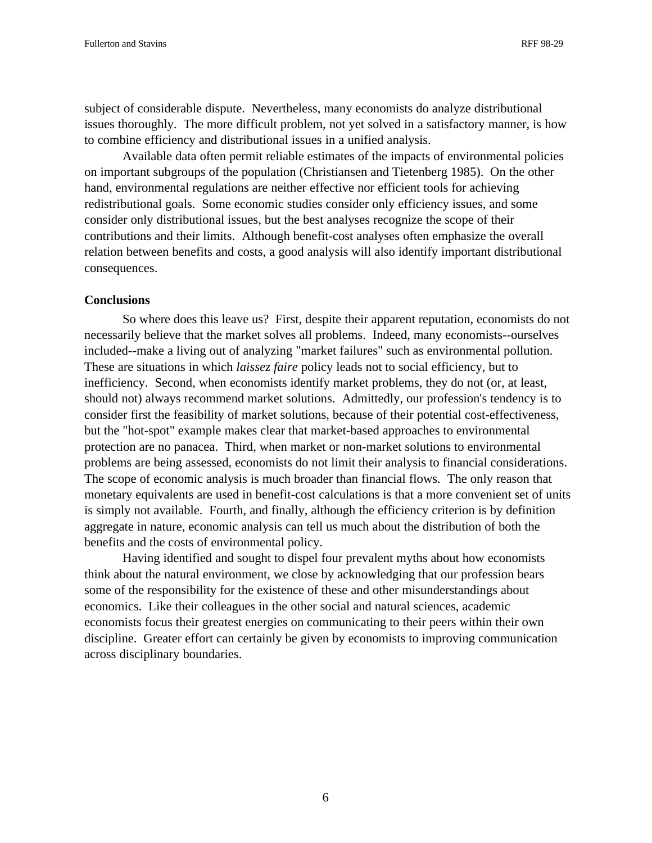subject of considerable dispute. Nevertheless, many economists do analyze distributional issues thoroughly. The more difficult problem, not yet solved in a satisfactory manner, is how to combine efficiency and distributional issues in a unified analysis.

Available data often permit reliable estimates of the impacts of environmental policies on important subgroups of the population (Christiansen and Tietenberg 1985). On the other hand, environmental regulations are neither effective nor efficient tools for achieving redistributional goals. Some economic studies consider only efficiency issues, and some consider only distributional issues, but the best analyses recognize the scope of their contributions and their limits. Although benefit-cost analyses often emphasize the overall relation between benefits and costs, a good analysis will also identify important distributional consequences.

### **Conclusions**

So where does this leave us? First, despite their apparent reputation, economists do not necessarily believe that the market solves all problems. Indeed, many economists--ourselves included--make a living out of analyzing "market failures" such as environmental pollution. These are situations in which *laissez faire* policy leads not to social efficiency, but to inefficiency. Second, when economists identify market problems, they do not (or, at least, should not) always recommend market solutions. Admittedly, our profession's tendency is to consider first the feasibility of market solutions, because of their potential cost-effectiveness, but the "hot-spot" example makes clear that market-based approaches to environmental protection are no panacea. Third, when market or non-market solutions to environmental problems are being assessed, economists do not limit their analysis to financial considerations. The scope of economic analysis is much broader than financial flows. The only reason that monetary equivalents are used in benefit-cost calculations is that a more convenient set of units is simply not available. Fourth, and finally, although the efficiency criterion is by definition aggregate in nature, economic analysis can tell us much about the distribution of both the benefits and the costs of environmental policy.

Having identified and sought to dispel four prevalent myths about how economists think about the natural environment, we close by acknowledging that our profession bears some of the responsibility for the existence of these and other misunderstandings about economics. Like their colleagues in the other social and natural sciences, academic economists focus their greatest energies on communicating to their peers within their own discipline. Greater effort can certainly be given by economists to improving communication across disciplinary boundaries.